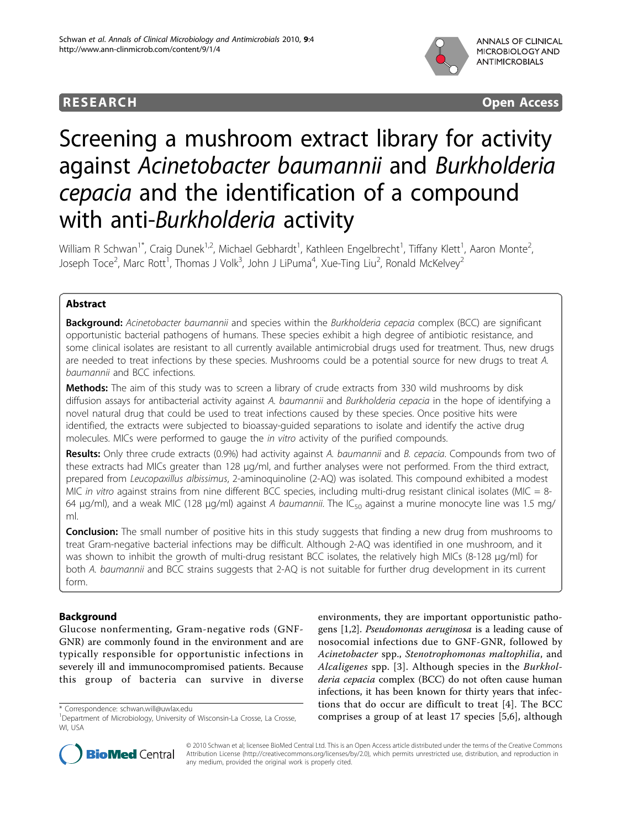

**RESEARCH CONSTRUCTION CONSTRUCTS** 

# Screening a mushroom extract library for activity against Acinetobacter baumannii and Burkholderia cepacia and the identification of a compound with anti-Burkholderia activity

William R Schwan $^{\dagger}$ , Craig Dunek $^{1,2}$ , Michael Gebhardt $^{\dagger}$ , Kathleen Engelbrecht $^{\dagger}$ , Tiffany Klett $^{\dagger}$ , Aaron Monte $^2$ .<br>, Joseph Toce<sup>2</sup>, Marc Rott<sup>1</sup>, Thomas J Volk<sup>3</sup>, John J LiPuma<sup>4</sup>, Xue-Ting Liu<sup>2</sup>, Ronald McKelvey<sup>2</sup>

# Abstract

**Background:** Acinetobacter baumannii and species within the Burkholderia cepacia complex (BCC) are significant opportunistic bacterial pathogens of humans. These species exhibit a high degree of antibiotic resistance, and some clinical isolates are resistant to all currently available antimicrobial drugs used for treatment. Thus, new drugs are needed to treat infections by these species. Mushrooms could be a potential source for new drugs to treat A. baumannii and BCC infections.

Methods: The aim of this study was to screen a library of crude extracts from 330 wild mushrooms by disk diffusion assays for antibacterial activity against A. baumannii and Burkholderia cepacia in the hope of identifying a novel natural drug that could be used to treat infections caused by these species. Once positive hits were identified, the extracts were subjected to bioassay-guided separations to isolate and identify the active drug molecules. MICs were performed to gauge the in vitro activity of the purified compounds.

Results: Only three crude extracts (0.9%) had activity against A. baumannii and B. cepacia. Compounds from two of these extracts had MICs greater than 128 μg/ml, and further analyses were not performed. From the third extract, prepared from Leucopaxillus albissimus, 2-aminoquinoline (2-AQ) was isolated. This compound exhibited a modest MIC in vitro against strains from nine different BCC species, including multi-drug resistant clinical isolates (MIC = 8-64 μg/ml), and a weak MIC (128 μg/ml) against A baumannii. The IC<sub>50</sub> against a murine monocyte line was 1.5 mg/ ml.

**Conclusion:** The small number of positive hits in this study suggests that finding a new drug from mushrooms to treat Gram-negative bacterial infections may be difficult. Although 2-AQ was identified in one mushroom, and it was shown to inhibit the growth of multi-drug resistant BCC isolates, the relatively high MICs (8-128 μg/ml) for both A. baumannii and BCC strains suggests that 2-AQ is not suitable for further drug development in its current form.

# Background

Glucose nonfermenting, Gram-negative rods (GNF-GNR) are commonly found in the environment and are typically responsible for opportunistic infections in severely ill and immunocompromised patients. Because this group of bacteria can survive in diverse

environments, they are important opportunistic pathogens [\[1](#page-5-0),[2](#page-5-0)]. Pseudomonas aeruginosa is a leading cause of nosocomial infections due to GNF-GNR, followed by Acinetobacter spp., Stenotrophomonas maltophilia, and Alcaligenes spp. [[3](#page-5-0)]. Although species in the Burkholderia cepacia complex (BCC) do not often cause human infections, it has been known for thirty years that infections that do occur are difficult to treat [\[4](#page-5-0)]. The BCC correspondence: [schwan.will@uwlax.edu](mailto:schwan.will@uwlax.edu)<br>
<sup>1</sup>Department of Microbiology, University of Wisconsin-La Crosse, La Crosse, **comprises a group of at least 17 species [[5,6](#page-5-0)], although** 



© 2010 Schwan et al; licensee BioMed Central Ltd. This is an Open Access article distributed under the terms of the Creative Commons Attribution License [\(http://creativecommons.org/licenses/by/2.0](http://creativecommons.org/licenses/by/2.0)), which permits unrestricted use, distribution, and reproduction in any medium, provided the original work is properly cited.

<sup>&</sup>lt;sup>1</sup>Department of Microbiology, University of Wisconsin-La Crosse, La Crosse, WI, USA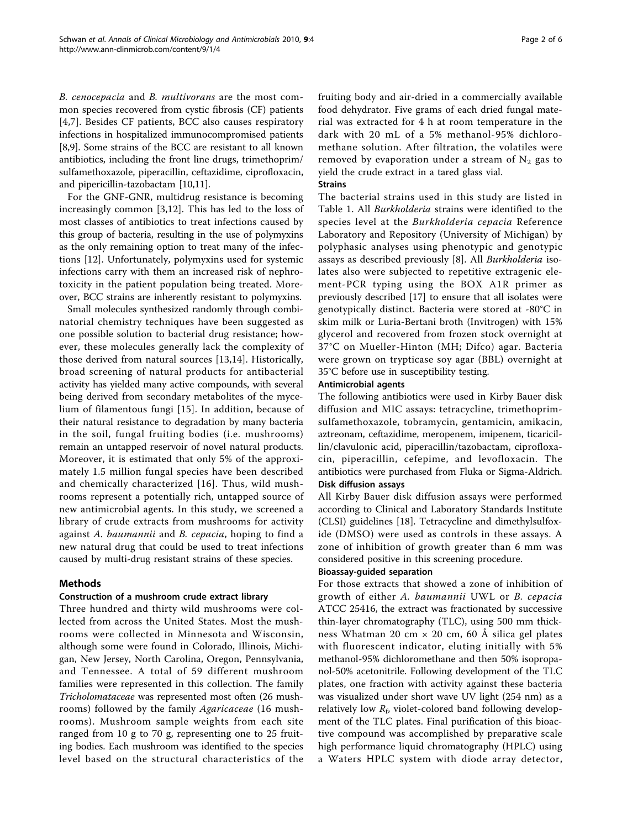B. cenocepacia and B. multivorans are the most common species recovered from cystic fibrosis (CF) patients [[4,7\]](#page-5-0). Besides CF patients, BCC also causes respiratory infections in hospitalized immunocompromised patients [[8,9\]](#page-5-0). Some strains of the BCC are resistant to all known antibiotics, including the front line drugs, trimethoprim/ sulfamethoxazole, piperacillin, ceftazidime, ciprofloxacin, and pipericillin-tazobactam [[10](#page-5-0),[11](#page-5-0)].

For the GNF-GNR, multidrug resistance is becoming increasingly common [\[3](#page-5-0),[12\]](#page-5-0). This has led to the loss of most classes of antibiotics to treat infections caused by this group of bacteria, resulting in the use of polymyxins as the only remaining option to treat many of the infections [[12\]](#page-5-0). Unfortunately, polymyxins used for systemic infections carry with them an increased risk of nephrotoxicity in the patient population being treated. Moreover, BCC strains are inherently resistant to polymyxins.

Small molecules synthesized randomly through combinatorial chemistry techniques have been suggested as one possible solution to bacterial drug resistance; however, these molecules generally lack the complexity of those derived from natural sources [[13,14\]](#page-5-0). Historically, broad screening of natural products for antibacterial activity has yielded many active compounds, with several being derived from secondary metabolites of the mycelium of filamentous fungi [[15](#page-5-0)]. In addition, because of their natural resistance to degradation by many bacteria in the soil, fungal fruiting bodies (i.e. mushrooms) remain an untapped reservoir of novel natural products. Moreover, it is estimated that only 5% of the approximately 1.5 million fungal species have been described and chemically characterized [[16\]](#page-5-0). Thus, wild mushrooms represent a potentially rich, untapped source of new antimicrobial agents. In this study, we screened a library of crude extracts from mushrooms for activity against A. baumannii and B. cepacia, hoping to find a new natural drug that could be used to treat infections caused by multi-drug resistant strains of these species.

# Methods

# Construction of a mushroom crude extract library

Three hundred and thirty wild mushrooms were collected from across the United States. Most the mushrooms were collected in Minnesota and Wisconsin, although some were found in Colorado, Illinois, Michigan, New Jersey, North Carolina, Oregon, Pennsylvania, and Tennessee. A total of 59 different mushroom families were represented in this collection. The family Tricholomataceae was represented most often (26 mushrooms) followed by the family Agaricaceae (16 mushrooms). Mushroom sample weights from each site ranged from 10 g to 70 g, representing one to 25 fruiting bodies. Each mushroom was identified to the species level based on the structural characteristics of the fruiting body and air-dried in a commercially available food dehydrator. Five grams of each dried fungal material was extracted for 4 h at room temperature in the dark with 20 mL of a 5% methanol-95% dichloromethane solution. After filtration, the volatiles were removed by evaporation under a stream of  $N_2$  gas to yield the crude extract in a tared glass vial.

# **Strains**

The bacterial strains used in this study are listed in Table [1.](#page-2-0) All Burkholderia strains were identified to the species level at the Burkholderia cepacia Reference Laboratory and Repository (University of Michigan) by polyphasic analyses using phenotypic and genotypic assays as described previously [\[8](#page-5-0)]. All Burkholderia isolates also were subjected to repetitive extragenic element-PCR typing using the BOX A1R primer as previously described [\[17\]](#page-5-0) to ensure that all isolates were genotypically distinct. Bacteria were stored at -80°C in skim milk or Luria-Bertani broth (Invitrogen) with 15% glycerol and recovered from frozen stock overnight at 37°C on Mueller-Hinton (MH; Difco) agar. Bacteria were grown on trypticase soy agar (BBL) overnight at 35°C before use in susceptibility testing.

# Antimicrobial agents

The following antibiotics were used in Kirby Bauer disk diffusion and MIC assays: tetracycline, trimethoprimsulfamethoxazole, tobramycin, gentamicin, amikacin, aztreonam, ceftazidime, meropenem, imipenem, ticaricillin/clavulonic acid, piperacillin/tazobactam, ciprofloxacin, piperacillin, cefepime, and levofloxacin. The antibiotics were purchased from Fluka or Sigma-Aldrich. Disk diffusion assays

All Kirby Bauer disk diffusion assays were performed according to Clinical and Laboratory Standards Institute (CLSI) guidelines [[18\]](#page-5-0). Tetracycline and dimethylsulfoxide (DMSO) were used as controls in these assays. A zone of inhibition of growth greater than 6 mm was considered positive in this screening procedure.

# Bioassay-guided separation

For those extracts that showed a zone of inhibition of growth of either A. baumannii UWL or B. cepacia ATCC 25416, the extract was fractionated by successive thin-layer chromatography (TLC), using 500 mm thickness Whatman 20 cm × 20 cm, 60 Å silica gel plates with fluorescent indicator, eluting initially with 5% methanol-95% dichloromethane and then 50% isopropanol-50% acetonitrile. Following development of the TLC plates, one fraction with activity against these bacteria was visualized under short wave UV light (254 nm) as a relatively low  $R_f$ , violet-colored band following development of the TLC plates. Final purification of this bioactive compound was accomplished by preparative scale high performance liquid chromatography (HPLC) using a Waters HPLC system with diode array detector,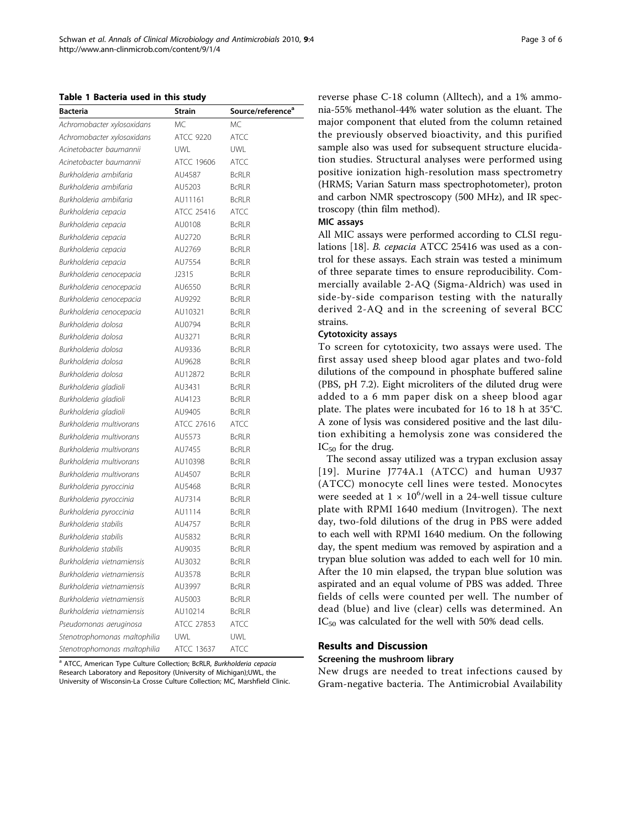<span id="page-2-0"></span>Table 1 Bacteria used in this study

| <b>Bacteria</b>              | <b>Strain</b>    | Source/reference <sup>a</sup> |
|------------------------------|------------------|-------------------------------|
| Achromobacter xylosoxidans   | <b>MC</b>        | <b>MC</b>                     |
| Achromobacter xylosoxidans   | <b>ATCC 9220</b> | <b>ATCC</b>                   |
| Acinetobacter baumannii      | <b>UWL</b>       | <b>UWL</b>                    |
| Acinetobacter baumannii      | ATCC 19606       | <b>ATCC</b>                   |
| Burkholderia ambifaria       | AU4587           | <b>BcRLR</b>                  |
| Burkholderia ambifaria       | AU5203           | <b>BcRLR</b>                  |
| Burkholderia ambifaria       | AU11161          | <b>BcRLR</b>                  |
| Burkholderia cepacia         | ATCC 25416       | <b>ATCC</b>                   |
| Burkholderia cepacia         | AU0108           | <b>BcRLR</b>                  |
| Burkholderia cepacia         | AU2720           | <b>BcRLR</b>                  |
| Burkholderia cepacia         | AU2769           | <b>BcRLR</b>                  |
| Burkholderia cepacia         | AU7554           | <b>BcRLR</b>                  |
| Burkholderia cenocepacia     | J2315            | <b>BcRLR</b>                  |
| Burkholderia cenocepacia     | AU6550           | <b>BcRLR</b>                  |
| Burkholderia cenocepacia     | AU9292           | <b>BcRLR</b>                  |
| Burkholderia cenocepacia     | AU10321          | <b>BCRLR</b>                  |
| Burkholderia dolosa          | AU0794           | <b>BcRLR</b>                  |
| Burkholderia dolosa          | AU3271           | <b>BcRLR</b>                  |
| Burkholderia dolosa          | AU9336           | <b>BcRLR</b>                  |
| Burkholderia dolosa          | AU9628           | <b>BCRLR</b>                  |
| Burkholderia dolosa          | AU12872          | <b>BcRLR</b>                  |
| Burkholderia gladioli        | AU3431           | <b>BcRLR</b>                  |
| Burkholderia gladioli        | AU4123           | <b>BcRLR</b>                  |
| Burkholderia gladioli        | AU9405           | <b>BcRLR</b>                  |
| Burkholderia multivorans     | ATCC 27616       | <b>ATCC</b>                   |
| Burkholderia multivorans     | AU5573           | <b>BcRLR</b>                  |
| Burkholderia multivorans     | AU7455           | <b>BCRLR</b>                  |
| Burkholderia multivorans     | AU10398          | <b>BcRLR</b>                  |
| Burkholderia multivorans     | AU4507           | <b>BcRLR</b>                  |
| Burkholderia pyroccinia      | AU5468           | <b>BcRLR</b>                  |
| Burkholderia pyroccinia      | AU7314           | <b>BcRLR</b>                  |
| Burkholderia pyroccinia      | AU1114           | <b>BCRLR</b>                  |
| Burkholderia stabilis        | AU4757           | <b>BcRLR</b>                  |
| Burkholderia stabilis        | AU5832           | <b>BCRLR</b>                  |
| Burkholderia stabilis        | AU9035           | <b>BcRLR</b>                  |
| Burkholderia vietnamiensis   | AU3032           | <b>BcRLR</b>                  |
| Burkholderia vietnamiensis   | AU3578           | <b>BcRLR</b>                  |
| Burkholderia vietnamiensis   | AU3997           | <b>BcRLR</b>                  |
| Burkholderia vietnamiensis   | AU5003           | <b>BcRLR</b>                  |
| Burkholderia vietnamiensis   | AU10214          | <b>BcRLR</b>                  |
| Pseudomonas aeruginosa       | ATCC 27853       | <b>ATCC</b>                   |
| Stenotrophomonas maltophilia | UWL              | <b>UWL</b>                    |
| Stenotrophomonas maltophilia | ATCC 13637       | <b>ATCC</b>                   |

<sup>a</sup> ATCC, American Type Culture Collection; BcRLR, Burkholderia cepacia Research Laboratory and Repository (University of Michigan);UWL, the University of Wisconsin-La Crosse Culture Collection; MC, Marshfield Clinic. reverse phase C-18 column (Alltech), and a 1% ammonia-55% methanol-44% water solution as the eluant. The major component that eluted from the column retained the previously observed bioactivity, and this purified sample also was used for subsequent structure elucidation studies. Structural analyses were performed using positive ionization high-resolution mass spectrometry (HRMS; Varian Saturn mass spectrophotometer), proton and carbon NMR spectroscopy (500 MHz), and IR spectroscopy (thin film method).

#### MIC assays

All MIC assays were performed according to CLSI regulations [\[18](#page-5-0)]. B. cepacia ATCC 25416 was used as a control for these assays. Each strain was tested a minimum of three separate times to ensure reproducibility. Commercially available 2-AQ (Sigma-Aldrich) was used in side-by-side comparison testing with the naturally derived 2-AQ and in the screening of several BCC strains.

# Cytotoxicity assays

To screen for cytotoxicity, two assays were used. The first assay used sheep blood agar plates and two-fold dilutions of the compound in phosphate buffered saline (PBS, pH 7.2). Eight microliters of the diluted drug were added to a 6 mm paper disk on a sheep blood agar plate. The plates were incubated for 16 to 18 h at 35°C. A zone of lysis was considered positive and the last dilution exhibiting a hemolysis zone was considered the  $IC_{50}$  for the drug.

The second assay utilized was a trypan exclusion assay [[19](#page-5-0)]. Murine J774A.1 (ATCC) and human U937 (ATCC) monocyte cell lines were tested. Monocytes were seeded at  $1 \times 10^6$ /well in a 24-well tissue culture plate with RPMI 1640 medium (Invitrogen). The next day, two-fold dilutions of the drug in PBS were added to each well with RPMI 1640 medium. On the following day, the spent medium was removed by aspiration and a trypan blue solution was added to each well for 10 min. After the 10 min elapsed, the trypan blue solution was aspirated and an equal volume of PBS was added. Three fields of cells were counted per well. The number of dead (blue) and live (clear) cells was determined. An IC<sub>50</sub> was calculated for the well with 50% dead cells.

# Results and Discussion

#### Screening the mushroom library

New drugs are needed to treat infections caused by Gram-negative bacteria. The Antimicrobial Availability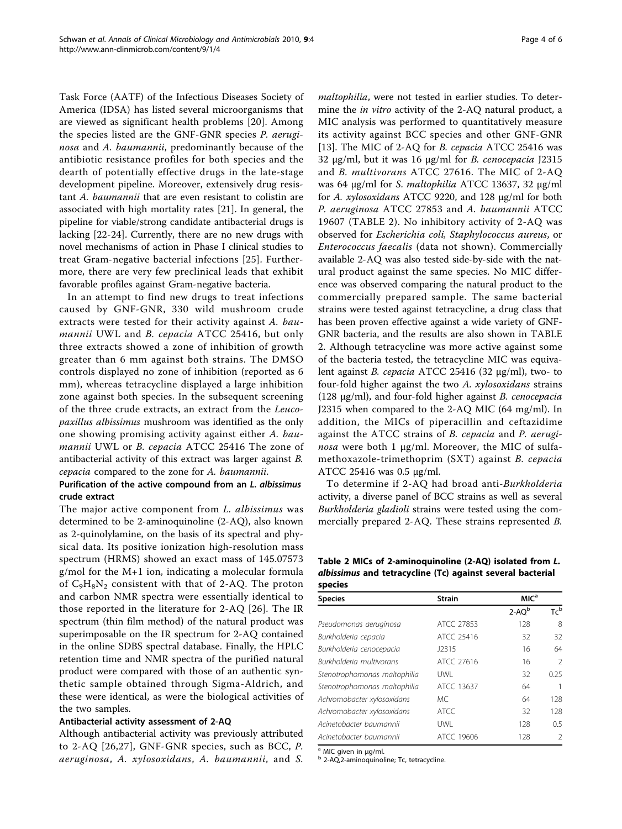Task Force (AATF) of the Infectious Diseases Society of America (IDSA) has listed several microorganisms that are viewed as significant health problems [\[20](#page-5-0)]. Among the species listed are the GNF-GNR species P. aeruginosa and A. baumannii, predominantly because of the antibiotic resistance profiles for both species and the dearth of potentially effective drugs in the late-stage development pipeline. Moreover, extensively drug resistant A. baumannii that are even resistant to colistin are associated with high mortality rates [[21](#page-5-0)]. In general, the pipeline for viable/strong candidate antibacterial drugs is lacking [[22-24](#page-5-0)]. Currently, there are no new drugs with novel mechanisms of action in Phase I clinical studies to treat Gram-negative bacterial infections [\[25\]](#page-5-0). Furthermore, there are very few preclinical leads that exhibit favorable profiles against Gram-negative bacteria.

In an attempt to find new drugs to treat infections caused by GNF-GNR, 330 wild mushroom crude extracts were tested for their activity against A. baumannii UWL and B. cepacia ATCC 25416, but only three extracts showed a zone of inhibition of growth greater than 6 mm against both strains. The DMSO controls displayed no zone of inhibition (reported as 6 mm), whereas tetracycline displayed a large inhibition zone against both species. In the subsequent screening of the three crude extracts, an extract from the Leucopaxillus albissimus mushroom was identified as the only one showing promising activity against either A. baumannii UWL or B. cepacia ATCC 25416 The zone of antibacterial activity of this extract was larger against B. cepacia compared to the zone for A. baumannii.

# Purification of the active compound from an L. albissimus crude extract

The major active component from *L. albissimus* was determined to be 2-aminoquinoline (2-AQ), also known as 2-quinolylamine, on the basis of its spectral and physical data. Its positive ionization high-resolution mass spectrum (HRMS) showed an exact mass of 145.07573 g/mol for the M+1 ion, indicating a molecular formula of  $C_9H_8N_2$  consistent with that of 2-AQ. The proton and carbon NMR spectra were essentially identical to those reported in the literature for 2-AQ [[26](#page-5-0)]. The IR spectrum (thin film method) of the natural product was superimposable on the IR spectrum for 2-AQ contained in the online SDBS spectral database. Finally, the HPLC retention time and NMR spectra of the purified natural product were compared with those of an authentic synthetic sample obtained through Sigma-Aldrich, and these were identical, as were the biological activities of the two samples.

#### Antibacterial activity assessment of 2-AQ

Although antibacterial activity was previously attributed to 2-AQ [[26](#page-5-0),[27](#page-5-0)], GNF-GNR species, such as BCC, P. aeruginosa, A. xylosoxidans, A. baumannii, and S. maltophilia, were not tested in earlier studies. To determine the in vitro activity of the 2-AQ natural product, a MIC analysis was performed to quantitatively measure its activity against BCC species and other GNF-GNR [[13\]](#page-5-0). The MIC of 2-AQ for B. cepacia ATCC 25416 was 32 μg/ml, but it was 16 μg/ml for B. cenocepacia J2315 and B. multivorans ATCC 27616. The MIC of 2-AQ was 64 μg/ml for S. maltophilia ATCC 13637, 32 μg/ml for A. xylosoxidans ATCC 9220, and 128 μg/ml for both P. aeruginosa ATCC 27853 and A. baumannii ATCC 19607 (TABLE 2). No inhibitory activity of 2-AQ was observed for Escherichia coli, Staphylococcus aureus, or Enterococcus faecalis (data not shown). Commercially available 2-AQ was also tested side-by-side with the natural product against the same species. No MIC difference was observed comparing the natural product to the commercially prepared sample. The same bacterial strains were tested against tetracycline, a drug class that has been proven effective against a wide variety of GNF-GNR bacteria, and the results are also shown in TABLE 2. Although tetracycline was more active against some of the bacteria tested, the tetracycline MIC was equivalent against *B. cepacia* ATCC 25416 (32  $\mu$ g/ml), two- to four-fold higher against the two A. xylosoxidans strains (128  $\mu$ g/ml), and four-fold higher against *B. cenocepacia* J2315 when compared to the 2-AQ MIC (64 mg/ml). In addition, the MICs of piperacillin and ceftazidime against the ATCC strains of B. cepacia and P. aerugi*nosa* were both 1  $\mu$ g/ml. Moreover, the MIC of sulfamethoxazole-trimethoprim (SXT) against B. cepacia ATCC 25416 was 0.5 μg/ml.

To determine if 2-AQ had broad anti-Burkholderia activity, a diverse panel of BCC strains as well as several Burkholderia gladioli strains were tested using the commercially prepared 2-AQ. These strains represented B.

Table 2 MICs of 2-aminoquinoline (2-AQ) isolated from L. albissimus and tetracycline (Tc) against several bacterial species

| upeers                       |               |                  |                            |  |  |
|------------------------------|---------------|------------------|----------------------------|--|--|
| <b>Species</b>               | <b>Strain</b> | MIC <sup>a</sup> |                            |  |  |
|                              |               | $2-AQ^b$         | $\mathsf{Tr}^{\mathsf{b}}$ |  |  |
| Pseudomonas aeruginosa       | ATCC 27853    | 128              | 8                          |  |  |
| Burkholderia cepacia         | ATCC 25416    | 32               | 32                         |  |  |
| Burkholderia cenocepacia     | 12315         | 16               | 64                         |  |  |
| Burkholderia multivorans     | ATCC 27616    | 16               | $\mathfrak{D}$             |  |  |
| Stenotrophomonas maltophilia | <b>UWL</b>    | 32               | 0.25                       |  |  |
| Stenotrophomonas maltophilia | ATCC 13637    | 64               |                            |  |  |
| Achromobacter xylosoxidans   | МC            | 64               | 128                        |  |  |
| Achromobacter xylosoxidans   | <b>ATCC</b>   | 32               | 128                        |  |  |
| Acinetobacter baumannii      | <b>UWL</b>    | 128              | 0.5                        |  |  |
| Acinetobacter baumannii      | ATCC 19606    | 128              | $\mathcal{P}$              |  |  |

<sup>a</sup> MIC given in μg/ml.<br> $\overline{b}$  2-AQ,2-aminoquinoline; Tc, tetracycline.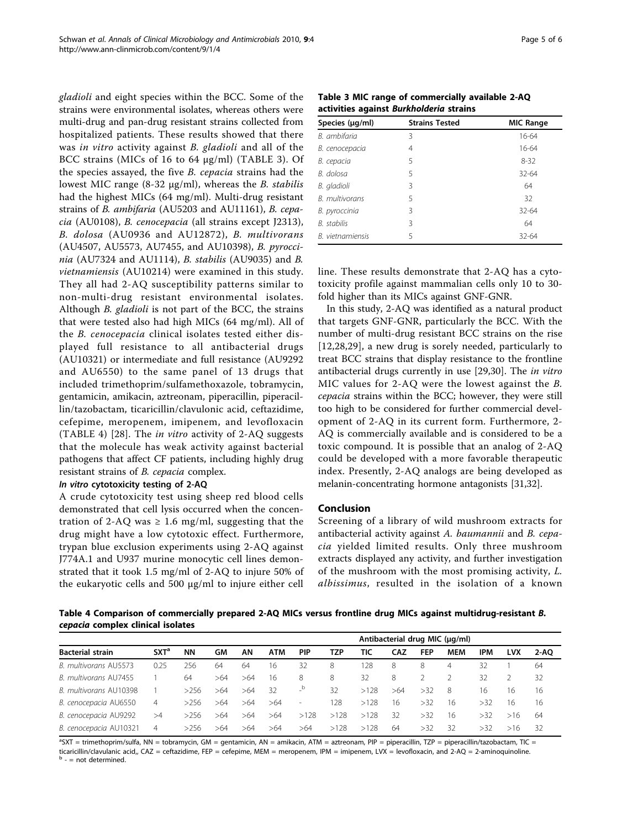gladioli and eight species within the BCC. Some of the strains were environmental isolates, whereas others were multi-drug and pan-drug resistant strains collected from hospitalized patients. These results showed that there was in vitro activity against B. gladioli and all of the BCC strains (MICs of 16 to 64 μg/ml) (TABLE 3). Of the species assayed, the five B. cepacia strains had the lowest MIC range  $(8-32 \mu g/ml)$ , whereas the *B. stabilis* had the highest MICs (64 mg/ml). Multi-drug resistant strains of B. ambifaria (AU5203 and AU11161), B. cepacia (AU0108), B. cenocepacia (all strains except J2313), B. dolosa (AU0936 and AU12872), B. multivorans (AU4507, AU5573, AU7455, and AU10398), B. pyroccinia (AU7324 and AU1114), B. stabilis (AU9035) and B. vietnamiensis (AU10214) were examined in this study. They all had 2-AQ susceptibility patterns similar to non-multi-drug resistant environmental isolates. Although *B. gladioli* is not part of the BCC, the strains that were tested also had high MICs (64 mg/ml). All of the B. cenocepacia clinical isolates tested either displayed full resistance to all antibacterial drugs (AU10321) or intermediate and full resistance (AU9292 and AU6550) to the same panel of 13 drugs that included trimethoprim/sulfamethoxazole, tobramycin, gentamicin, amikacin, aztreonam, piperacillin, piperacillin/tazobactam, ticaricillin/clavulonic acid, ceftazidime, cefepime, meropenem, imipenem, and levofloxacin (TABLE 4) [[28\]](#page-5-0). The in vitro activity of 2-AQ suggests that the molecule has weak activity against bacterial pathogens that affect CF patients, including highly drug resistant strains of B. cepacia complex.

#### In vitro cytotoxicity testing of 2-AQ

A crude cytotoxicity test using sheep red blood cells demonstrated that cell lysis occurred when the concentration of 2-AQ was  $\geq$  1.6 mg/ml, suggesting that the drug might have a low cytotoxic effect. Furthermore, trypan blue exclusion experiments using 2-AQ against J774A.1 and U937 murine monocytic cell lines demonstrated that it took 1.5 mg/ml of 2-AQ to injure 50% of the eukaryotic cells and 500 μg/ml to injure either cell

Table 3 MIC range of commercially available 2-AQ activities against Burkholderia strains

| Species (µg/ml)       | <b>Strains Tested</b> | <b>MIC Range</b> |  |  |  |  |
|-----------------------|-----------------------|------------------|--|--|--|--|
| B. ambifaria          | 3                     | 16-64            |  |  |  |  |
| В. сепосерасіа        | 4                     | $16-64$          |  |  |  |  |
| В. серасіа            | 5                     | $8 - 32$         |  |  |  |  |
| B. dolosa             | 5                     | $32 - 64$        |  |  |  |  |
| B. gladioli           | 3                     | 64               |  |  |  |  |
| <b>B.</b> multivorans | 5                     | 32               |  |  |  |  |
| B. pyroccinia         | 3                     | $32 - 64$        |  |  |  |  |
| B. stabilis           | 3                     | 64               |  |  |  |  |
| B. vietnamiensis      | 5                     | $32 - 64$        |  |  |  |  |

line. These results demonstrate that 2-AQ has a cytotoxicity profile against mammalian cells only 10 to 30 fold higher than its MICs against GNF-GNR.

In this study, 2-AQ was identified as a natural product that targets GNF-GNR, particularly the BCC. With the number of multi-drug resistant BCC strains on the rise [[12](#page-5-0),[28,29](#page-5-0)], a new drug is sorely needed, particularly to treat BCC strains that display resistance to the frontline antibacterial drugs currently in use [[29,30\]](#page-5-0). The in vitro MIC values for 2-AQ were the lowest against the B. cepacia strains within the BCC; however, they were still too high to be considered for further commercial development of 2-AQ in its current form. Furthermore, 2- AQ is commercially available and is considered to be a toxic compound. It is possible that an analog of 2-AQ could be developed with a more favorable therapeutic index. Presently, 2-AQ analogs are being developed as melanin-concentrating hormone antagonists [[31,32](#page-5-0)].

#### Conclusion

Screening of a library of wild mushroom extracts for antibacterial activity against A. baumannii and B. cepacia yielded limited results. Only three mushroom extracts displayed any activity, and further investigation of the mushroom with the most promising activity, L. albissimus, resulted in the isolation of a known

Table 4 Comparison of commercially prepared 2-AQ MICs versus frontline drug MICs against multidrug-resistant B. cepacia complex clinical isolates

| <b>Bacterial strain</b> |         |           |     |     | Antibacterial drug MIC (µg/ml) |                          |      |      |     |            |            |     |            |      |
|-------------------------|---------|-----------|-----|-----|--------------------------------|--------------------------|------|------|-----|------------|------------|-----|------------|------|
|                         | $SXT^a$ | <b>NN</b> | GM  | AΝ  | <b>ATM</b>                     | <b>PIP</b>               | TZP  | TIC  | CAZ | <b>FEP</b> | <b>MEM</b> | IPM | <b>LVX</b> | 2-AO |
| B. multivorans AU5573   | 0.25    | 256       | 64  | 64  | 16                             | 32                       | 8    | 128  | 8   | 8          | 4          | 32  |            | 64   |
| B. multivorans AU7455   |         | 64        | >64 | >64 | -16                            | 8                        | 8    | 32   | 8   |            |            | 32  |            | 32   |
| B. multivorans AU10398  |         | >256      | >64 | >64 | 32                             | b                        | 32   | >128 | >64 | >32        | - 8        | 16  | 16         | 16   |
| B. cenocepacia AU6550   | 4       | >256      | >64 | >64 | >64                            | $\overline{\phantom{a}}$ | 128  | >128 | 16  | >32        | 16         | >32 | 16         | 16   |
| B. cenocepacia AU9292   | >4      | >256      | >64 | >64 | >64                            | >128                     | >128 | >128 | 32  | >32        | 16         | >32 | >16        | -64  |
| B. cenocepacia AU10321  | 4       | >256      | >64 | >64 | >64                            | >64                      | >128 | >128 | 64  | >32        | 32         | >32 | >16        | -32  |

<sup>a</sup>SXT = trimethoprim/sulfa, NN = tobramycin, GM = gentamicin, AN = amikacin, ATM = aztreonam, PIP = piperacillin, TZP = piperacillin/tazobactam, TIC = ticaricillin/clavulanic acid,, CAZ = ceftazidime, FEP = cefepime, MEM = meropenem, IPM = imipenem, LVX = levofloxacin, and 2-AQ = 2-aminoquinoline.  $b -$  = not determined.